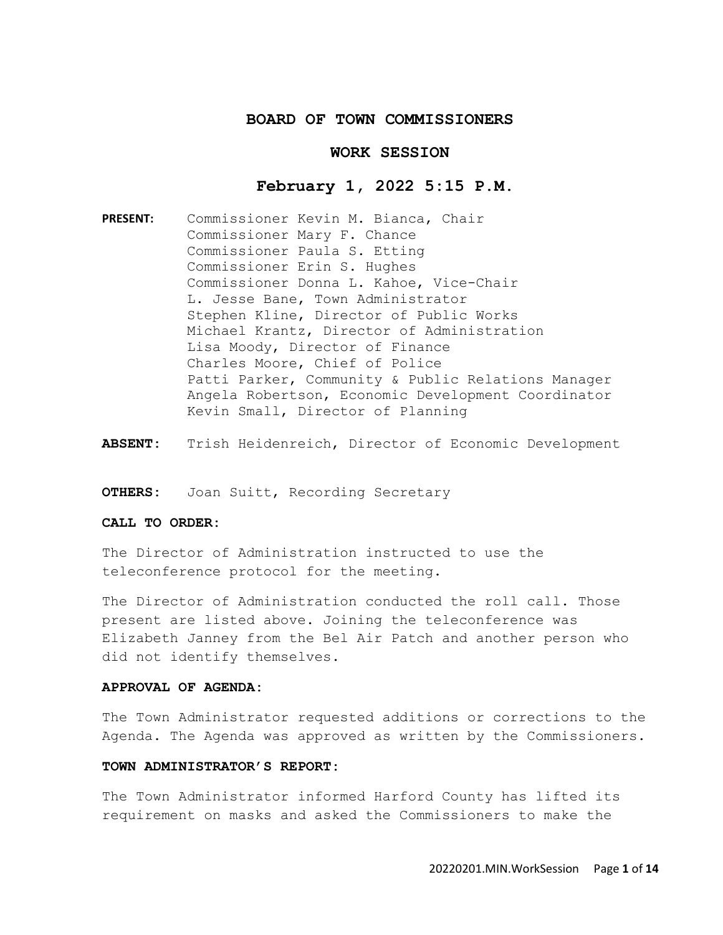## **BOARD OF TOWN COMMISSIONERS**

### **WORK SESSION**

### **February 1, 2022 5:15 P.M.**

**PRESENT:** Commissioner Kevin M. Bianca, Chair Commissioner Mary F. Chance Commissioner Paula S. Etting Commissioner Erin S. Hughes Commissioner Donna L. Kahoe, Vice-Chair L. Jesse Bane, Town Administrator Stephen Kline, Director of Public Works Michael Krantz, Director of Administration Lisa Moody, Director of Finance Charles Moore, Chief of Police Patti Parker, Community & Public Relations Manager Angela Robertson, Economic Development Coordinator Kevin Small, Director of Planning

**ABSENT:** Trish Heidenreich, Director of Economic Development

**OTHERS:** Joan Suitt, Recording Secretary

#### **CALL TO ORDER:**

The Director of Administration instructed to use the teleconference protocol for the meeting.

The Director of Administration conducted the roll call. Those present are listed above. Joining the teleconference was Elizabeth Janney from the Bel Air Patch and another person who did not identify themselves.

#### **APPROVAL OF AGENDA:**

The Town Administrator requested additions or corrections to the Agenda. The Agenda was approved as written by the Commissioners.

# **TOWN ADMINISTRATOR'S REPORT:**

The Town Administrator informed Harford County has lifted its requirement on masks and asked the Commissioners to make the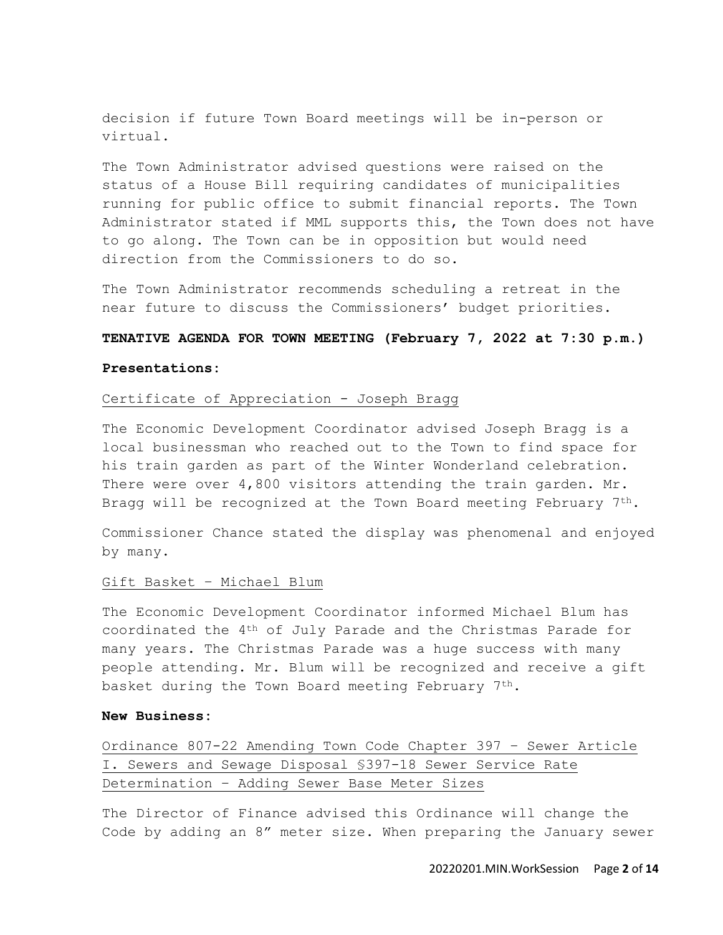decision if future Town Board meetings will be in-person or virtual.

The Town Administrator advised questions were raised on the status of a House Bill requiring candidates of municipalities running for public office to submit financial reports. The Town Administrator stated if MML supports this, the Town does not have to go along. The Town can be in opposition but would need direction from the Commissioners to do so.

The Town Administrator recommends scheduling a retreat in the near future to discuss the Commissioners' budget priorities.

## **TENATIVE AGENDA FOR TOWN MEETING (February 7, 2022 at 7:30 p.m.)**

#### **Presentations:**

# Certificate of Appreciation - Joseph Bragg

The Economic Development Coordinator advised Joseph Bragg is a local businessman who reached out to the Town to find space for his train garden as part of the Winter Wonderland celebration. There were over 4,800 visitors attending the train garden. Mr. Bragg will be recognized at the Town Board meeting February  $7<sup>th</sup>$ .

Commissioner Chance stated the display was phenomenal and enjoyed by many.

### Gift Basket – Michael Blum

The Economic Development Coordinator informed Michael Blum has coordinated the 4th of July Parade and the Christmas Parade for many years. The Christmas Parade was a huge success with many people attending. Mr. Blum will be recognized and receive a gift basket during the Town Board meeting February 7th.

### **New Business:**

Ordinance 807-22 Amending Town Code Chapter 397 – Sewer Article I. Sewers and Sewage Disposal §397-18 Sewer Service Rate Determination – Adding Sewer Base Meter Sizes

The Director of Finance advised this Ordinance will change the Code by adding an 8" meter size. When preparing the January sewer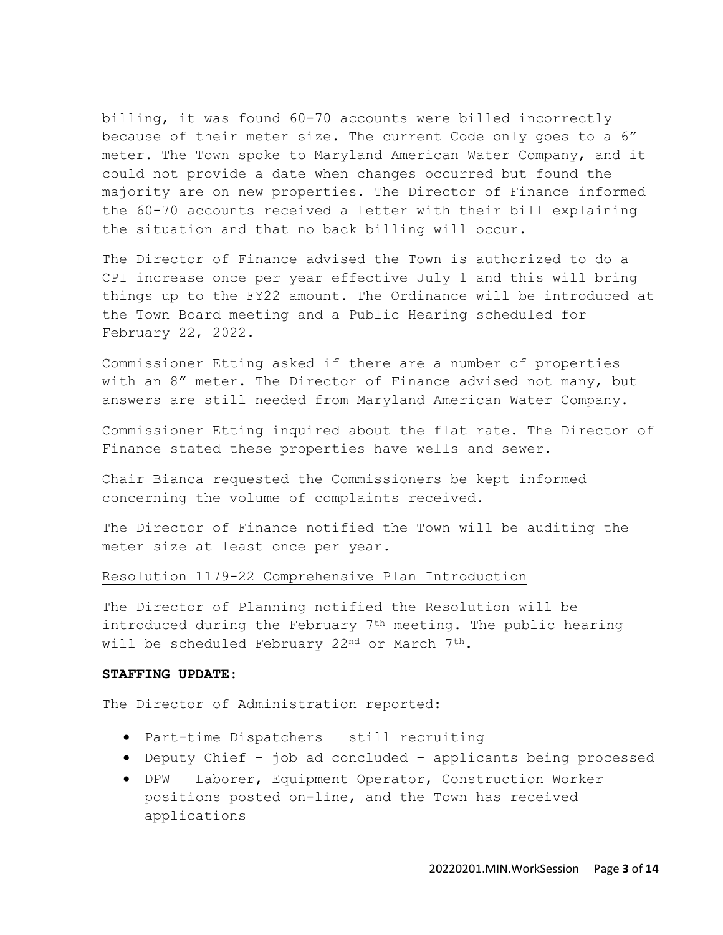billing, it was found 60-70 accounts were billed incorrectly because of their meter size. The current Code only goes to a 6" meter. The Town spoke to Maryland American Water Company, and it could not provide a date when changes occurred but found the majority are on new properties. The Director of Finance informed the 60-70 accounts received a letter with their bill explaining the situation and that no back billing will occur.

The Director of Finance advised the Town is authorized to do a CPI increase once per year effective July 1 and this will bring things up to the FY22 amount. The Ordinance will be introduced at the Town Board meeting and a Public Hearing scheduled for February 22, 2022.

Commissioner Etting asked if there are a number of properties with an 8" meter. The Director of Finance advised not many, but answers are still needed from Maryland American Water Company.

Commissioner Etting inquired about the flat rate. The Director of Finance stated these properties have wells and sewer.

Chair Bianca requested the Commissioners be kept informed concerning the volume of complaints received.

The Director of Finance notified the Town will be auditing the meter size at least once per year.

#### Resolution 1179-22 Comprehensive Plan Introduction

The Director of Planning notified the Resolution will be introduced during the February 7<sup>th</sup> meeting. The public hearing will be scheduled February 22<sup>nd</sup> or March 7<sup>th</sup>.

#### **STAFFING UPDATE:**

The Director of Administration reported:

- Part-time Dispatchers still recruiting
- Deputy Chief job ad concluded applicants being processed
- DPW Laborer, Equipment Operator, Construction Worker positions posted on-line, and the Town has received applications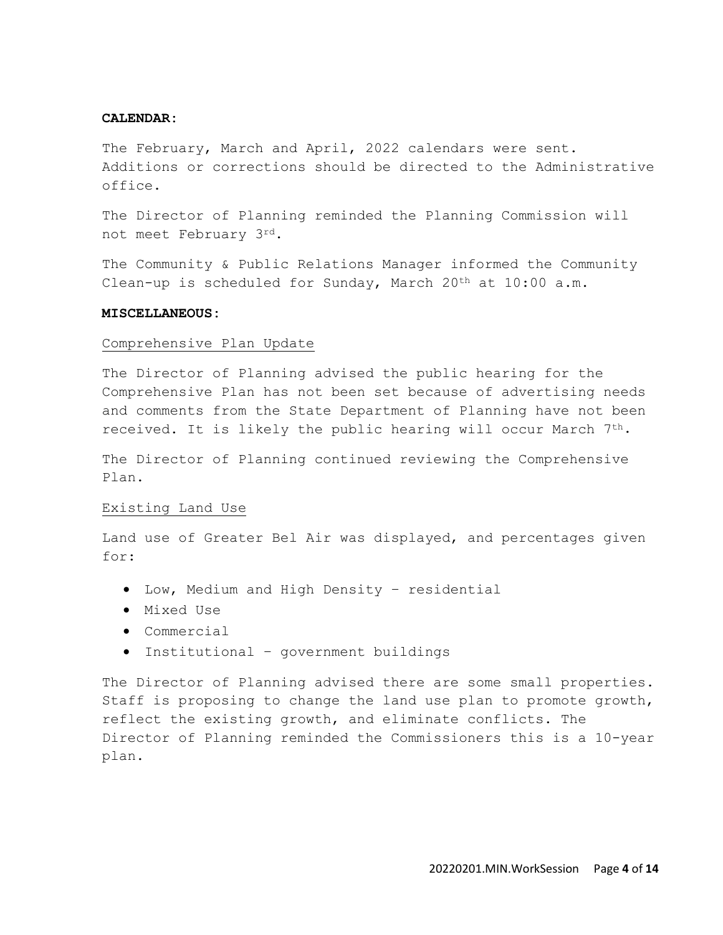#### **CALENDAR:**

The February, March and April, 2022 calendars were sent. Additions or corrections should be directed to the Administrative office.

The Director of Planning reminded the Planning Commission will not meet February 3rd.

The Community & Public Relations Manager informed the Community Clean-up is scheduled for Sunday, March 20<sup>th</sup> at 10:00 a.m.

### **MISCELLANEOUS:**

#### Comprehensive Plan Update

The Director of Planning advised the public hearing for the Comprehensive Plan has not been set because of advertising needs and comments from the State Department of Planning have not been received. It is likely the public hearing will occur March 7th.

The Director of Planning continued reviewing the Comprehensive Plan.

#### Existing Land Use

Land use of Greater Bel Air was displayed, and percentages given for:

- Low, Medium and High Density residential
- Mixed Use
- Commercial
- Institutional government buildings

The Director of Planning advised there are some small properties. Staff is proposing to change the land use plan to promote growth, reflect the existing growth, and eliminate conflicts. The Director of Planning reminded the Commissioners this is a 10-year plan.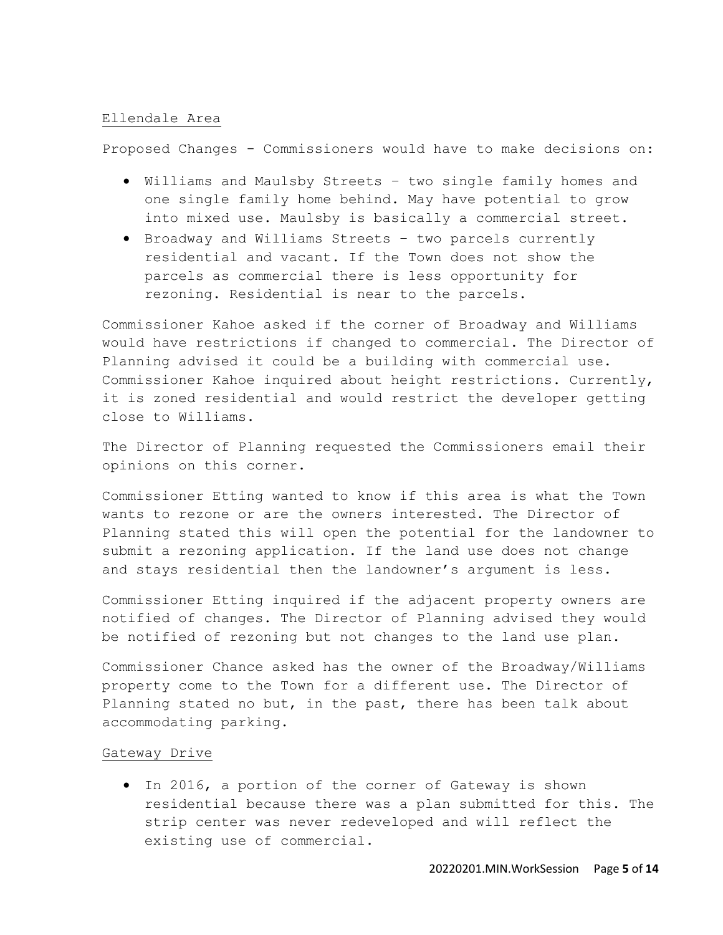### Ellendale Area

Proposed Changes - Commissioners would have to make decisions on:

- Williams and Maulsby Streets two single family homes and one single family home behind. May have potential to grow into mixed use. Maulsby is basically a commercial street.
- Broadway and Williams Streets two parcels currently residential and vacant. If the Town does not show the parcels as commercial there is less opportunity for rezoning. Residential is near to the parcels.

Commissioner Kahoe asked if the corner of Broadway and Williams would have restrictions if changed to commercial. The Director of Planning advised it could be a building with commercial use. Commissioner Kahoe inquired about height restrictions. Currently, it is zoned residential and would restrict the developer getting close to Williams.

The Director of Planning requested the Commissioners email their opinions on this corner.

Commissioner Etting wanted to know if this area is what the Town wants to rezone or are the owners interested. The Director of Planning stated this will open the potential for the landowner to submit a rezoning application. If the land use does not change and stays residential then the landowner's argument is less.

Commissioner Etting inquired if the adjacent property owners are notified of changes. The Director of Planning advised they would be notified of rezoning but not changes to the land use plan.

Commissioner Chance asked has the owner of the Broadway/Williams property come to the Town for a different use. The Director of Planning stated no but, in the past, there has been talk about accommodating parking.

### Gateway Drive

• In 2016, a portion of the corner of Gateway is shown residential because there was a plan submitted for this. The strip center was never redeveloped and will reflect the existing use of commercial.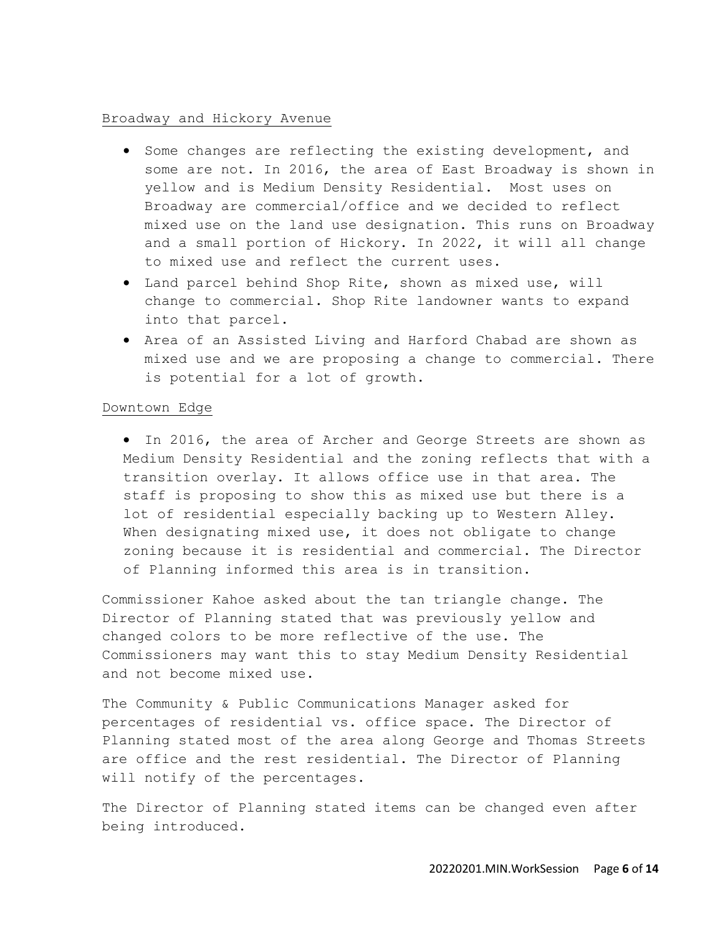## Broadway and Hickory Avenue

- Some changes are reflecting the existing development, and some are not. In 2016, the area of East Broadway is shown in yellow and is Medium Density Residential. Most uses on Broadway are commercial/office and we decided to reflect mixed use on the land use designation. This runs on Broadway and a small portion of Hickory. In 2022, it will all change to mixed use and reflect the current uses.
- Land parcel behind Shop Rite, shown as mixed use, will change to commercial. Shop Rite landowner wants to expand into that parcel.
- Area of an Assisted Living and Harford Chabad are shown as mixed use and we are proposing a change to commercial. There is potential for a lot of growth.

## Downtown Edge

• In 2016, the area of Archer and George Streets are shown as Medium Density Residential and the zoning reflects that with a transition overlay. It allows office use in that area. The staff is proposing to show this as mixed use but there is a lot of residential especially backing up to Western Alley. When designating mixed use, it does not obligate to change zoning because it is residential and commercial. The Director of Planning informed this area is in transition.

Commissioner Kahoe asked about the tan triangle change. The Director of Planning stated that was previously yellow and changed colors to be more reflective of the use. The Commissioners may want this to stay Medium Density Residential and not become mixed use.

The Community & Public Communications Manager asked for percentages of residential vs. office space. The Director of Planning stated most of the area along George and Thomas Streets are office and the rest residential. The Director of Planning will notify of the percentages.

The Director of Planning stated items can be changed even after being introduced.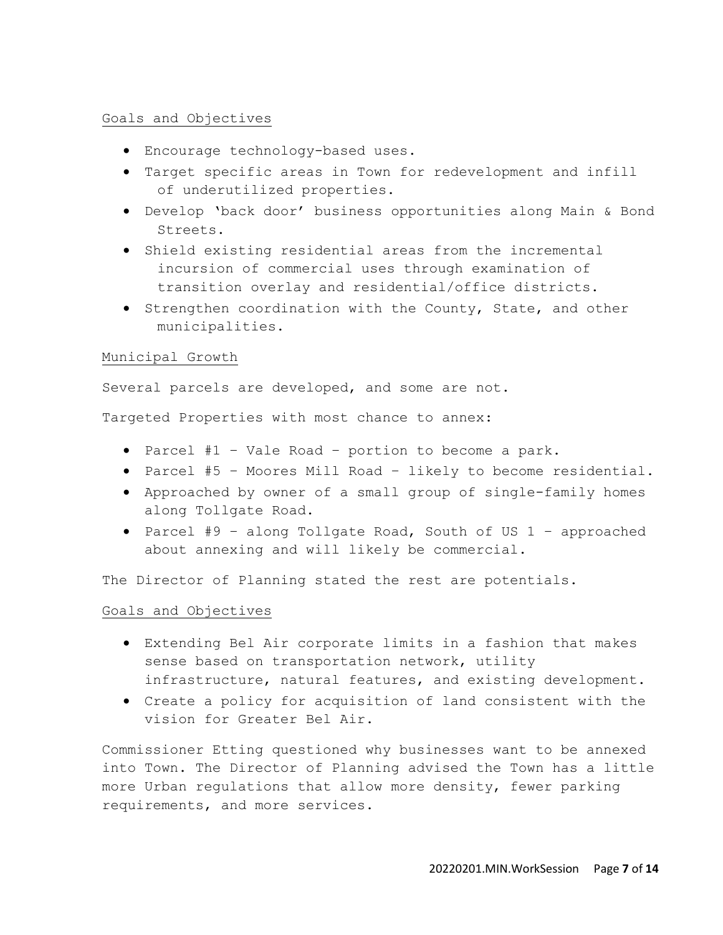# Goals and Objectives

- Encourage technology-based uses.
- Target specific areas in Town for redevelopment and infill of underutilized properties.
- Develop 'back door' business opportunities along Main & Bond Streets.
- Shield existing residential areas from the incremental incursion of commercial uses through examination of transition overlay and residential/office districts.
- Strengthen coordination with the County, State, and other municipalities.

# Municipal Growth

Several parcels are developed, and some are not.

Targeted Properties with most chance to annex:

- Parcel #1 Vale Road portion to become a park.
- Parcel #5 Moores Mill Road likely to become residential.
- Approached by owner of a small group of single-family homes along Tollgate Road.
- Parcel #9 along Tollgate Road, South of US 1 approached about annexing and will likely be commercial.

The Director of Planning stated the rest are potentials.

# Goals and Objectives

- Extending Bel Air corporate limits in a fashion that makes sense based on transportation network, utility infrastructure, natural features, and existing development.
- Create a policy for acquisition of land consistent with the vision for Greater Bel Air.

Commissioner Etting questioned why businesses want to be annexed into Town. The Director of Planning advised the Town has a little more Urban regulations that allow more density, fewer parking requirements, and more services.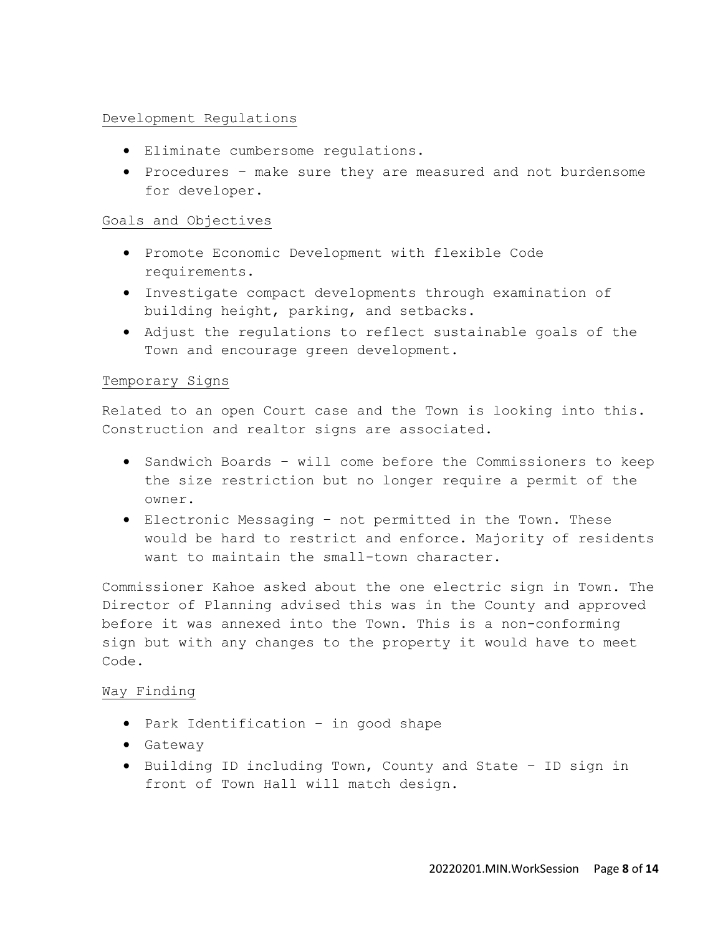# Development Regulations

- Eliminate cumbersome regulations.
- Procedures make sure they are measured and not burdensome for developer.

# Goals and Objectives

- Promote Economic Development with flexible Code requirements.
- Investigate compact developments through examination of building height, parking, and setbacks.
- Adjust the regulations to reflect sustainable goals of the Town and encourage green development.

## Temporary Signs

Related to an open Court case and the Town is looking into this. Construction and realtor signs are associated.

- Sandwich Boards will come before the Commissioners to keep the size restriction but no longer require a permit of the owner.
- Electronic Messaging not permitted in the Town. These would be hard to restrict and enforce. Majority of residents want to maintain the small-town character.

Commissioner Kahoe asked about the one electric sign in Town. The Director of Planning advised this was in the County and approved before it was annexed into the Town. This is a non-conforming sign but with any changes to the property it would have to meet Code.

# Way Finding

- Park Identification in good shape
- Gateway
- Building ID including Town, County and State ID sign in front of Town Hall will match design.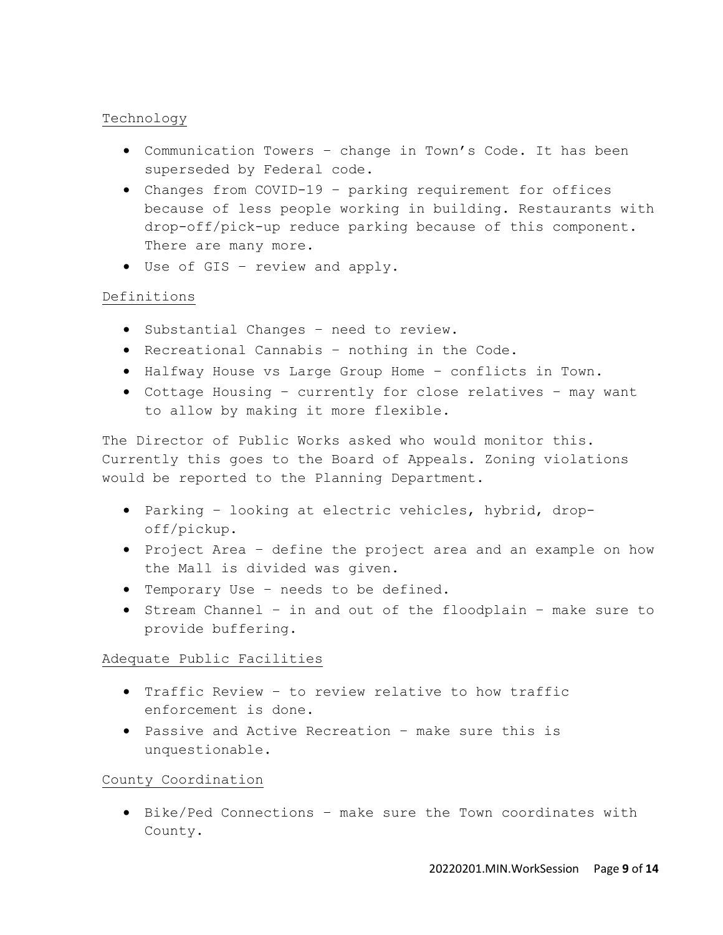# Technology

- Communication Towers change in Town's Code. It has been superseded by Federal code.
- Changes from COVID-19 parking requirement for offices because of less people working in building. Restaurants with drop-off/pick-up reduce parking because of this component. There are many more.
- Use of GIS review and apply.

# Definitions

- Substantial Changes need to review.
- Recreational Cannabis nothing in the Code.
- Halfway House vs Large Group Home conflicts in Town.
- Cottage Housing currently for close relatives may want to allow by making it more flexible.

The Director of Public Works asked who would monitor this. Currently this goes to the Board of Appeals. Zoning violations would be reported to the Planning Department.

- Parking looking at electric vehicles, hybrid, dropoff/pickup.
- Project Area define the project area and an example on how the Mall is divided was given.
- Temporary Use needs to be defined.
- Stream Channel in and out of the floodplain make sure to provide buffering.

# Adequate Public Facilities

- Traffic Review to review relative to how traffic enforcement is done.
- Passive and Active Recreation make sure this is unquestionable.

County Coordination

• Bike/Ped Connections – make sure the Town coordinates with County.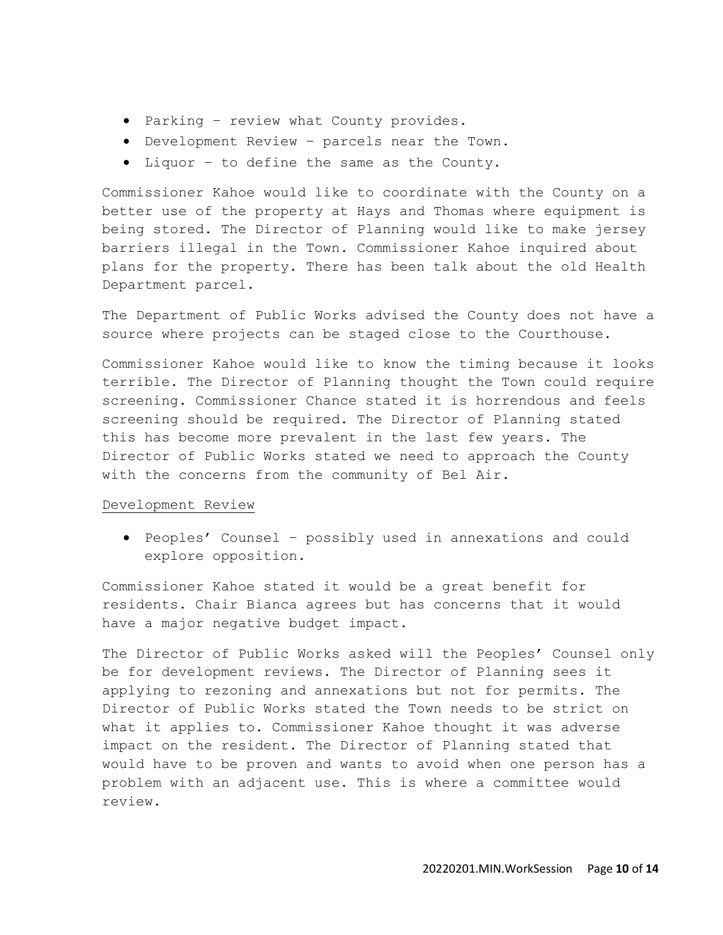- Parking review what County provides.
- Development Review parcels near the Town.
- Liquor to define the same as the County.

Commissioner Kahoe would like to coordinate with the County on a better use of the property at Hays and Thomas where equipment is being stored. The Director of Planning would like to make jersey barriers illegal in the Town. Commissioner Kahoe inquired about plans for the property. There has been talk about the old Health Department parcel.

The Department of Public Works advised the County does not have a source where projects can be staged close to the Courthouse.

Commissioner Kahoe would like to know the timing because it looks terrible. The Director of Planning thought the Town could require screening. Commissioner Chance stated it is horrendous and feels screening should be required. The Director of Planning stated this has become more prevalent in the last few years. The Director of Public Works stated we need to approach the County with the concerns from the community of Bel Air.

## Development Review

• Peoples' Counsel – possibly used in annexations and could explore opposition.

Commissioner Kahoe stated it would be a great benefit for residents. Chair Bianca agrees but has concerns that it would have a major negative budget impact.

The Director of Public Works asked will the Peoples' Counsel only be for development reviews. The Director of Planning sees it applying to rezoning and annexations but not for permits. The Director of Public Works stated the Town needs to be strict on what it applies to. Commissioner Kahoe thought it was adverse impact on the resident. The Director of Planning stated that would have to be proven and wants to avoid when one person has a problem with an adjacent use. This is where a committee would review.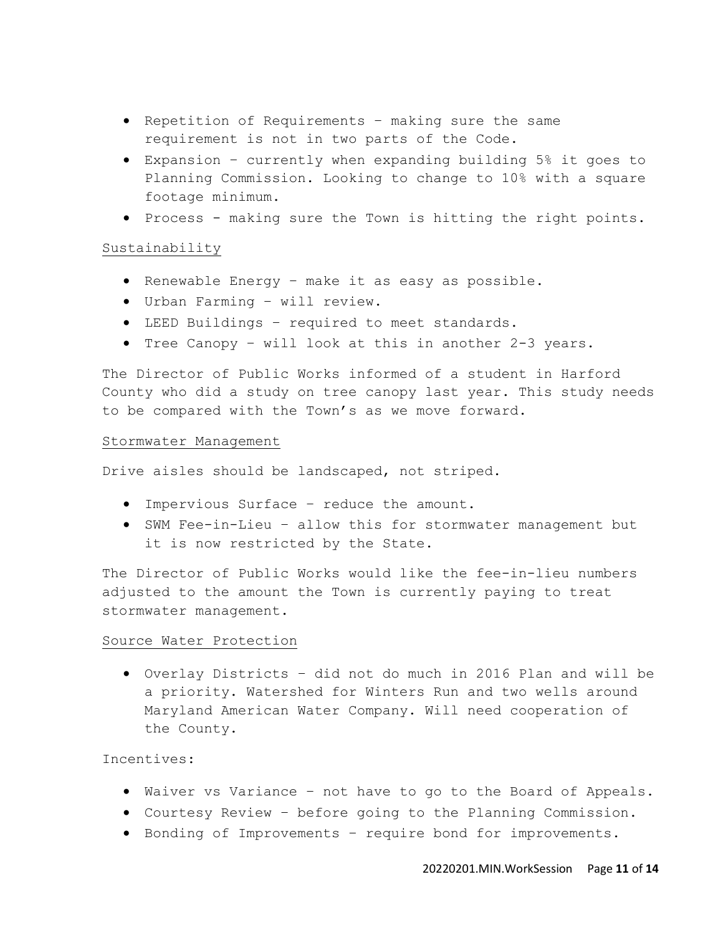- Repetition of Requirements making sure the same requirement is not in two parts of the Code.
- Expansion currently when expanding building 5% it goes to Planning Commission. Looking to change to 10% with a square footage minimum.
- Process making sure the Town is hitting the right points.

### Sustainability

- Renewable Energy make it as easy as possible.
- Urban Farming will review.
- LEED Buildings required to meet standards.
- Tree Canopy will look at this in another 2-3 years.

The Director of Public Works informed of a student in Harford County who did a study on tree canopy last year. This study needs to be compared with the Town's as we move forward.

#### Stormwater Management

Drive aisles should be landscaped, not striped.

- Impervious Surface reduce the amount.
- SWM Fee-in-Lieu allow this for stormwater management but it is now restricted by the State.

The Director of Public Works would like the fee-in-lieu numbers adjusted to the amount the Town is currently paying to treat stormwater management.

## Source Water Protection

• Overlay Districts – did not do much in 2016 Plan and will be a priority. Watershed for Winters Run and two wells around Maryland American Water Company. Will need cooperation of the County.

## Incentives:

- Waiver vs Variance not have to go to the Board of Appeals.
- Courtesy Review before going to the Planning Commission.
- Bonding of Improvements require bond for improvements.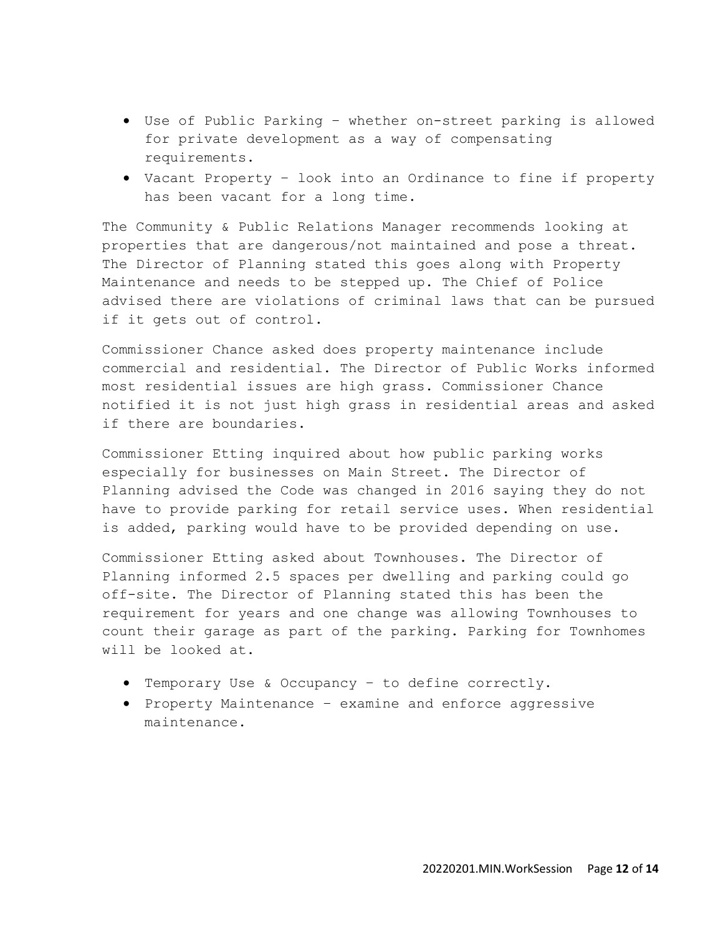- Use of Public Parking whether on-street parking is allowed for private development as a way of compensating requirements.
- Vacant Property look into an Ordinance to fine if property has been vacant for a long time.

The Community & Public Relations Manager recommends looking at properties that are dangerous/not maintained and pose a threat. The Director of Planning stated this goes along with Property Maintenance and needs to be stepped up. The Chief of Police advised there are violations of criminal laws that can be pursued if it gets out of control.

Commissioner Chance asked does property maintenance include commercial and residential. The Director of Public Works informed most residential issues are high grass. Commissioner Chance notified it is not just high grass in residential areas and asked if there are boundaries.

Commissioner Etting inquired about how public parking works especially for businesses on Main Street. The Director of Planning advised the Code was changed in 2016 saying they do not have to provide parking for retail service uses. When residential is added, parking would have to be provided depending on use.

Commissioner Etting asked about Townhouses. The Director of Planning informed 2.5 spaces per dwelling and parking could go off-site. The Director of Planning stated this has been the requirement for years and one change was allowing Townhouses to count their garage as part of the parking. Parking for Townhomes will be looked at.

- Temporary Use & Occupancy to define correctly.
- Property Maintenance examine and enforce aggressive maintenance.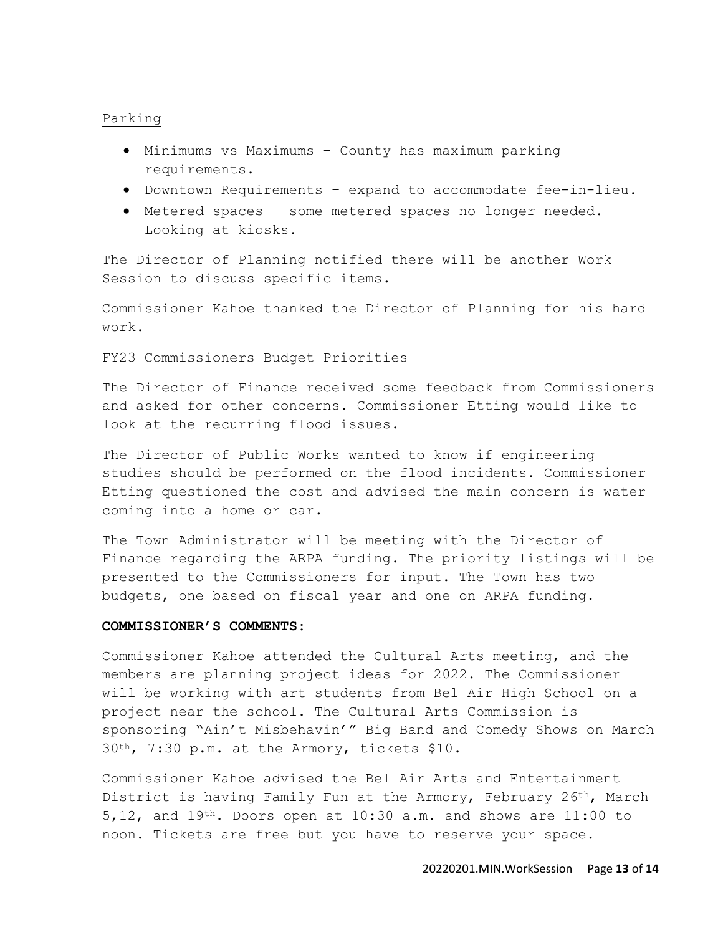### Parking

- Minimums vs Maximums County has maximum parking requirements.
- Downtown Requirements expand to accommodate fee-in-lieu.
- Metered spaces some metered spaces no longer needed. Looking at kiosks.

The Director of Planning notified there will be another Work Session to discuss specific items.

Commissioner Kahoe thanked the Director of Planning for his hard work.

### FY23 Commissioners Budget Priorities

The Director of Finance received some feedback from Commissioners and asked for other concerns. Commissioner Etting would like to look at the recurring flood issues.

The Director of Public Works wanted to know if engineering studies should be performed on the flood incidents. Commissioner Etting questioned the cost and advised the main concern is water coming into a home or car.

The Town Administrator will be meeting with the Director of Finance regarding the ARPA funding. The priority listings will be presented to the Commissioners for input. The Town has two budgets, one based on fiscal year and one on ARPA funding.

#### **COMMISSIONER'S COMMENTS:**

Commissioner Kahoe attended the Cultural Arts meeting, and the members are planning project ideas for 2022. The Commissioner will be working with art students from Bel Air High School on a project near the school. The Cultural Arts Commission is sponsoring "Ain't Misbehavin'" Big Band and Comedy Shows on March 30th, 7:30 p.m. at the Armory, tickets \$10.

Commissioner Kahoe advised the Bel Air Arts and Entertainment District is having Family Fun at the Armory, February 26th, March 5,12, and  $19^{th}$ . Doors open at 10:30 a.m. and shows are 11:00 to noon. Tickets are free but you have to reserve your space.